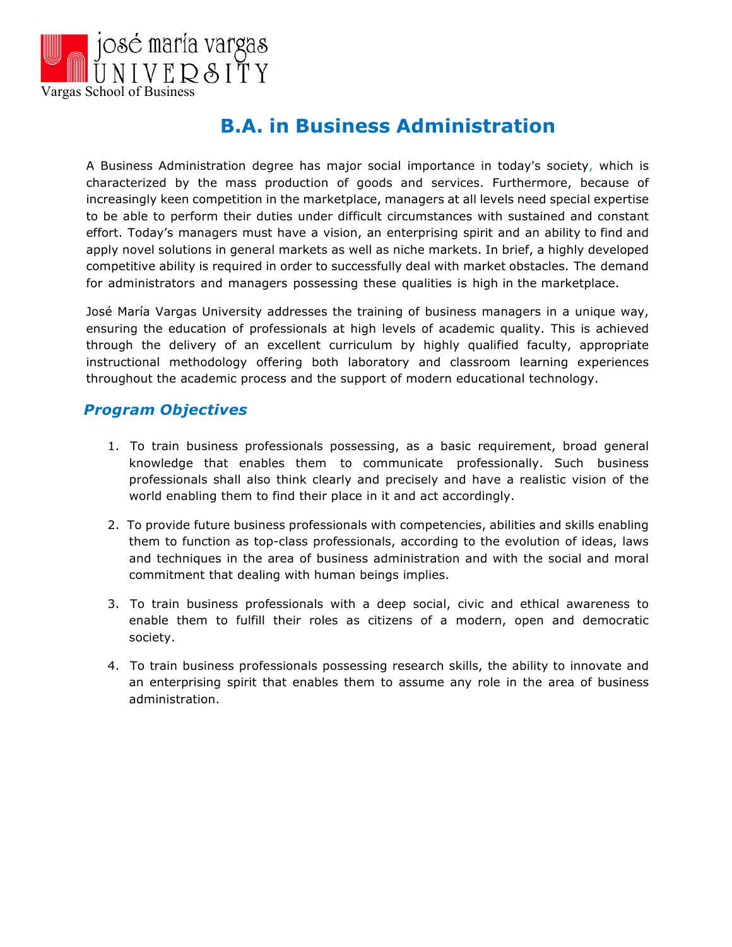

# **B.A. in Business Administration**

A Business Administration degree has major social importance in today's society, which is characterized by the mass production of goods and services. Furthermore, because of increasingly keen competition in the marketplace, managers at all levels need special expertise to be able to perform their duties under difficult circumstances with sustained and constant effort. Today's managers must have a vision, an enterprising spirit and an ability to find and apply novel solutions in general markets as well as niche markets. In brief, a highly developed competitive ability is required in order to successfully deal with market obstacles. The demand for administrators and managers possessing these qualities is high in the marketplace.

José María Vargas University addresses the training of business managers in a unique way, ensuring the education of professionals at high levels of academic quality. This is achieved through the delivery of an excellent curriculum by highly qualified faculty, appropriate instructional methodology offering both laboratory and classroom learning experiences throughout the academic process and the support of modern educational technology.

## *Program Objectives*

- 1. To train business professionals possessing, as a basic requirement, broad general knowledge that enables them to communicate professionally. Such business professionals shall also think clearly and precisely and have a realistic vision of the world enabling them to find their place in it and act accordingly.
- 2. To provide future business professionals with competencies, abilities and skills enabling them to function as top-class professionals, according to the evolution of ideas, laws and techniques in the area of business administration and with the social and moral commitment that dealing with human beings implies.
- 3. To train business professionals with a deep social, civic and ethical awareness to enable them to fulfill their roles as citizens of a modern, open and democratic society.
- 4. To train business professionals possessing research skills, the ability to innovate and an enterprising spirit that enables them to assume any role in the area of business administration.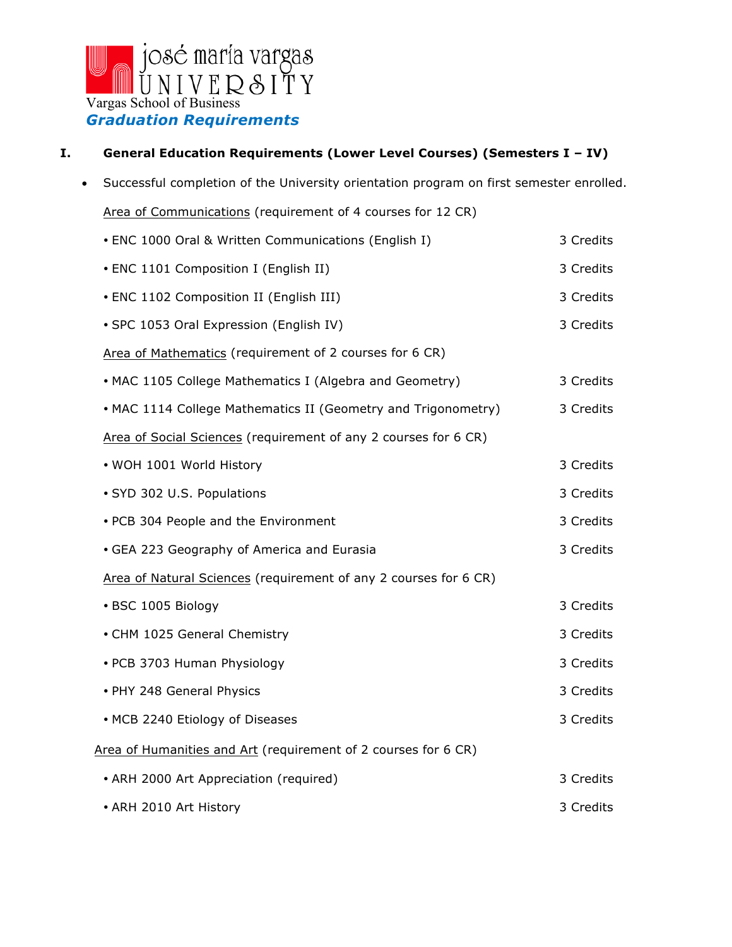

#### **I. General Education Requirements (Lower Level Courses) (Semesters I – IV)**

• Successful completion of the University orientation program on first semester enrolled. Area of Communications (requirement of 4 courses for 12 CR) ENC 1000 Oral & Written Communications (English I) 3 Credits ENC 1101 Composition I (English II) 3 Credits ENC 1102 Composition II (English III) 3 Credits • SPC 1053 Oral Expression (English IV) 3 Credits Area of Mathematics (requirement of 2 courses for 6 CR) • MAC 1105 College Mathematics I (Algebra and Geometry) 3 Credits • MAC 1114 College Mathematics II (Geometry and Trigonometry) 3 Credits Area of Social Sciences (requirement of any 2 courses for 6 CR) • WOH 1001 World History **3** Credits • SYD 302 U.S. Populations 3 Credits • PCB 304 People and the Environment 2 2 2 3 Credits • GEA 223 Geography of America and Eurasia 3 Credits 3 Credits Area of Natural Sciences (requirement of any 2 courses for 6 CR) • BSC 1005 Biology 3 Credits • CHM 1025 General Chemistry 3 Credits 3 Credits • PCB 3703 Human Physiology 3 Credits 3 Credits • PHY 248 General Physics 3 Credits 3 Credits • MCB 2240 Etiology of Diseases 3 Credits Area of Humanities and Art (requirement of 2 courses for 6 CR) • ARH 2000 Art Appreciation (required) 3 Credits • ARH 2010 Art History 3 Credits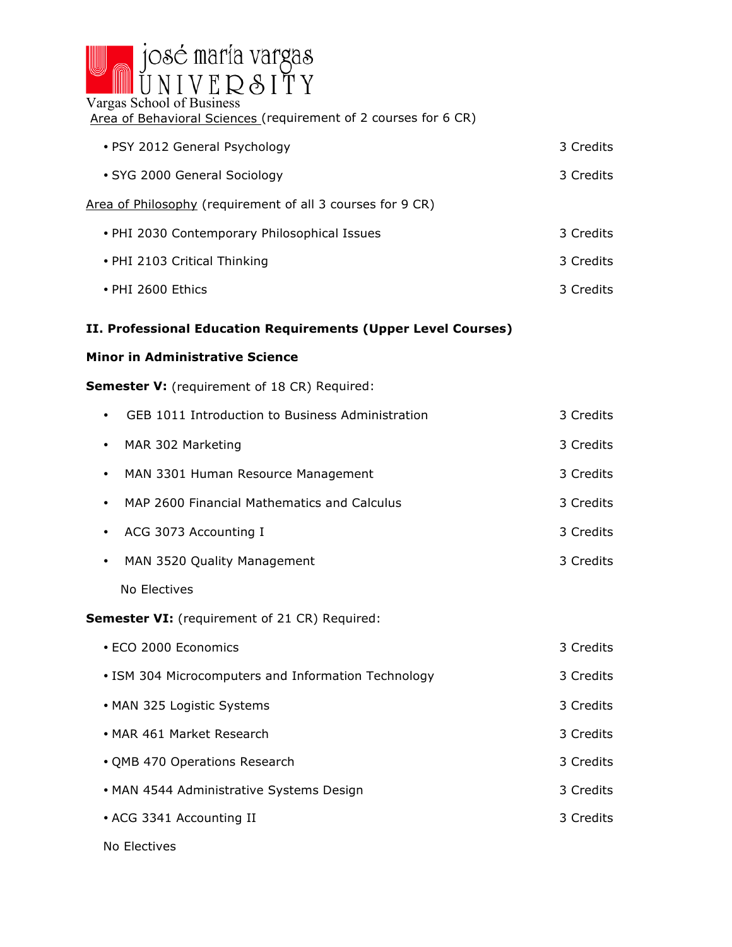

# Area of Behavioral Sciences (requirement of 2 courses for 6 CR)

| • PSY 2012 General Psychology                              | 3 Credits |
|------------------------------------------------------------|-----------|
| • SYG 2000 General Sociology                               | 3 Credits |
| Area of Philosophy (requirement of all 3 courses for 9 CR) |           |
| • PHI 2030 Contemporary Philosophical Issues               | 3 Credits |
| • PHI 2103 Critical Thinking                               | 3 Credits |
|                                                            |           |

- PHI 2600 Ethics 3 Credits
	-

# **II. Professional Education Requirements (Upper Level Courses)**

#### **Minor in Administrative Science**

#### **Semester V:** (requirement of 18 CR) Required:

| GEB 1011 Introduction to Business Administration<br>$\bullet$ | 3 Credits |
|---------------------------------------------------------------|-----------|
| MAR 302 Marketing<br>٠                                        | 3 Credits |
| MAN 3301 Human Resource Management<br>$\bullet$               | 3 Credits |
| MAP 2600 Financial Mathematics and Calculus<br>٠              | 3 Credits |
| ACG 3073 Accounting I<br>٠                                    | 3 Credits |
| MAN 3520 Quality Management<br>$\bullet$                      | 3 Credits |
| No Electives                                                  |           |
| <b>Semester VI:</b> (requirement of 21 CR) Required:          |           |
| • ECO 2000 Economics                                          | 3 Credits |
| • ISM 304 Microcomputers and Information Technology           | 3 Credits |
| • MAN 325 Logistic Systems                                    | 3 Credits |
| • MAR 461 Market Research                                     | 3 Credits |
| • QMB 470 Operations Research                                 | 3 Credits |
| • MAN 4544 Administrative Systems Design                      | 3 Credits |
| • ACG 3341 Accounting II                                      | 3 Credits |
|                                                               |           |

No Electives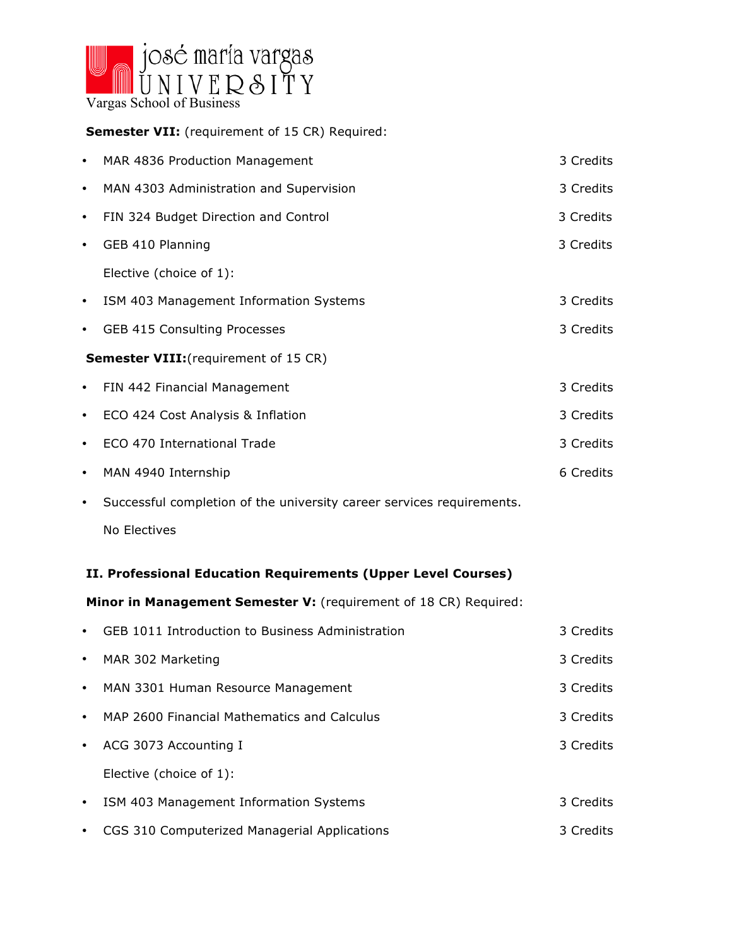

**Semester VII:** (requirement of 15 CR) Required:

| $\bullet$                                    | MAR 4836 Production Management          | 3 Credits |
|----------------------------------------------|-----------------------------------------|-----------|
| $\bullet$                                    | MAN 4303 Administration and Supervision | 3 Credits |
| $\bullet$                                    | FIN 324 Budget Direction and Control    | 3 Credits |
| $\bullet$                                    | GEB 410 Planning                        | 3 Credits |
|                                              | Elective (choice of 1):                 |           |
| $\bullet$                                    | ISM 403 Management Information Systems  | 3 Credits |
| $\bullet$                                    | <b>GEB 415 Consulting Processes</b>     | 3 Credits |
| <b>Semester VIII:</b> (requirement of 15 CR) |                                         |           |
|                                              | • FIN 442 Financial Management          | 3 Credits |
| $\bullet$                                    | ECO 424 Cost Analysis & Inflation       | 3 Credits |
| $\bullet$                                    | ECO 470 International Trade             | 3 Credits |
| $\bullet$                                    | MAN 4940 Internship                     | 6 Credits |
|                                              |                                         |           |

Successful completion of the university career services requirements.

No Electives

## **II. Professional Education Requirements (Upper Level Courses)**

**Minor in Management Semester V:** (requirement of 18 CR) Required:

| $\bullet$ | GEB 1011 Introduction to Business Administration | 3 Credits |
|-----------|--------------------------------------------------|-----------|
| $\bullet$ | MAR 302 Marketing                                | 3 Credits |
| $\bullet$ | MAN 3301 Human Resource Management               | 3 Credits |
| $\bullet$ | MAP 2600 Financial Mathematics and Calculus      | 3 Credits |
| $\bullet$ | ACG 3073 Accounting I                            | 3 Credits |
|           | Elective (choice of 1):                          |           |
| $\bullet$ | ISM 403 Management Information Systems           | 3 Credits |
| $\bullet$ | CGS 310 Computerized Managerial Applications     | 3 Credits |